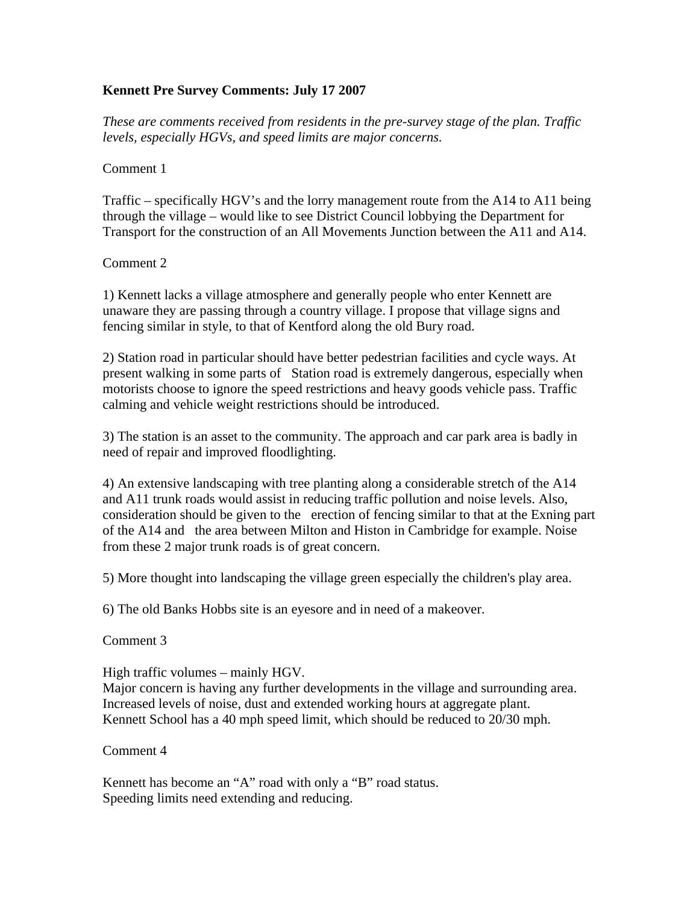## **Kennett Pre Survey Comments: July 17 2007**

*These are comments received from residents in the pre-survey stage of the plan. Traffic levels, especially HGVs, and speed limits are major concerns.* 

## Comment 1

Traffic – specifically HGV's and the lorry management route from the A14 to A11 being through the village – would like to see District Council lobbying the Department for Transport for the construction of an All Movements Junction between the A11 and A14.

## Comment 2

1) Kennett lacks a village atmosphere and generally people who enter Kennett are unaware they are passing through a country village. I propose that village signs and fencing similar in style, to that of Kentford along the old Bury road.

2) Station road in particular should have better pedestrian facilities and cycle ways. At present walking in some parts of Station road is extremely dangerous, especially when motorists choose to ignore the speed restrictions and heavy goods vehicle pass. Traffic calming and vehicle weight restrictions should be introduced.

3) The station is an asset to the community. The approach and car park area is badly in need of repair and improved floodlighting.

4) An extensive landscaping with tree planting along a considerable stretch of the A14 and A11 trunk roads would assist in reducing traffic pollution and noise levels. Also, consideration should be given to the erection of fencing similar to that at the Exning part of the A14 and the area between Milton and Histon in Cambridge for example. Noise from these 2 major trunk roads is of great concern.

5) More thought into landscaping the village green especially the children's play area.

6) The old Banks Hobbs site is an eyesore and in need of a makeover.

Comment 3

High traffic volumes – mainly HGV.

Major concern is having any further developments in the village and surrounding area. Increased levels of noise, dust and extended working hours at aggregate plant. Kennett School has a 40 mph speed limit, which should be reduced to 20/30 mph.

Comment 4

Kennett has become an "A" road with only a "B" road status. Speeding limits need extending and reducing.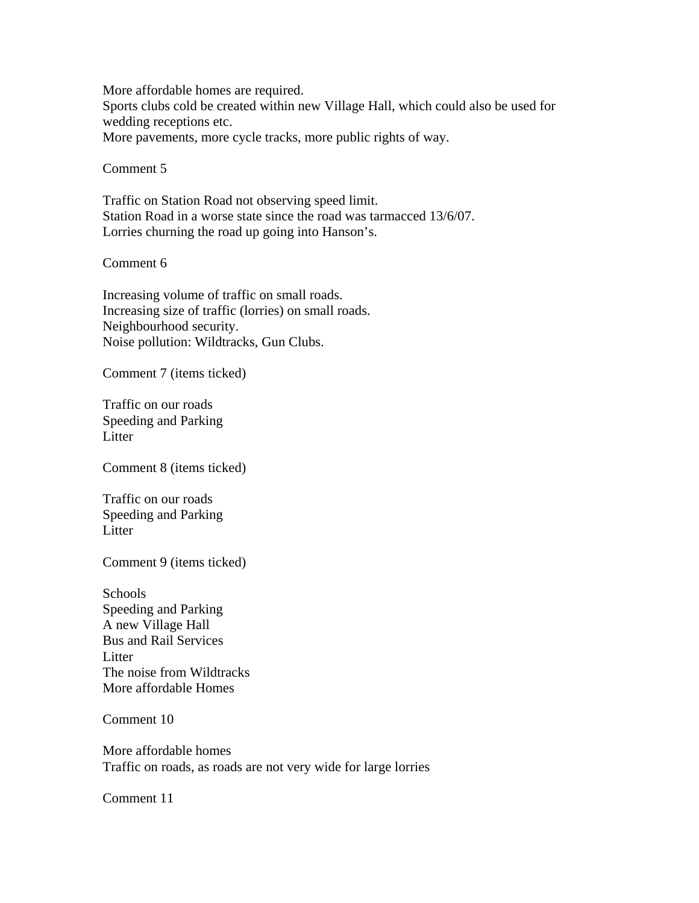More affordable homes are required.

Sports clubs cold be created within new Village Hall, which could also be used for wedding receptions etc.

More pavements, more cycle tracks, more public rights of way.

Comment 5

Traffic on Station Road not observing speed limit. Station Road in a worse state since the road was tarmacced 13/6/07. Lorries churning the road up going into Hanson's.

Comment 6

Increasing volume of traffic on small roads. Increasing size of traffic (lorries) on small roads. Neighbourhood security. Noise pollution: Wildtracks, Gun Clubs.

Comment 7 (items ticked)

Traffic on our roads Speeding and Parking Litter

Comment 8 (items ticked)

Traffic on our roads Speeding and Parking **Litter** 

Comment 9 (items ticked)

**Schools** Speeding and Parking A new Village Hall Bus and Rail Services **Litter** The noise from Wildtracks More affordable Homes

Comment 10

More affordable homes Traffic on roads, as roads are not very wide for large lorries

Comment 11